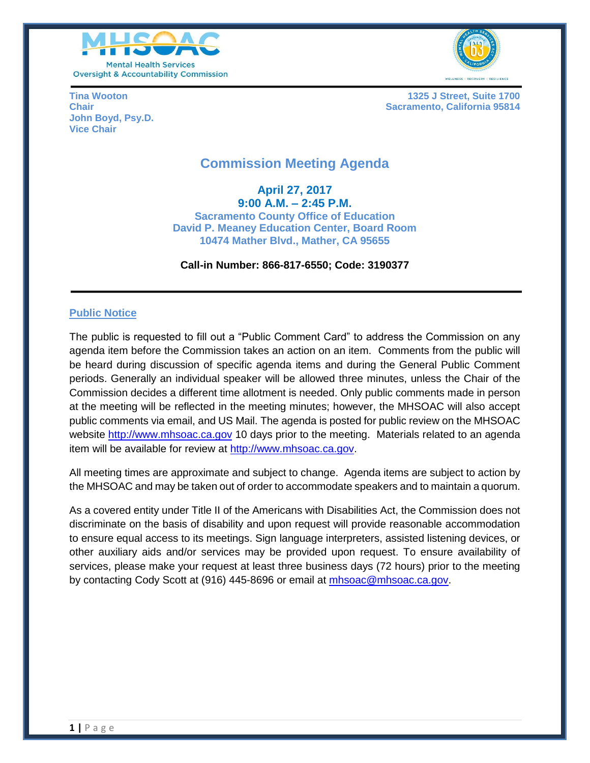



**John Boyd, Psy.D. Vice Chair**

**Tina Wooton 1325 J Street, Suite 1700 Chair Sacramento, California 95814 Chair** Sacramento, California 95814

# **Commission Meeting Agenda**

**April 27, 2017 9:00 A.M. – 2:45 P.M. Sacramento County Office of Education David P. Meaney Education Center, Board Room 10474 Mather Blvd., Mather, CA 95655**

#### **Call-in Number: 866-817-6550; Code: 3190377**

### **Public Notice**

The public is requested to fill out a "Public Comment Card" to address the Commission on any agenda item before the Commission takes an action on an item. Comments from the public will be heard during discussion of specific agenda items and during the General Public Comment periods. Generally an individual speaker will be allowed three minutes, unless the Chair of the Commission decides a different time allotment is needed. Only public comments made in person at the meeting will be reflected in the meeting minutes; however, the MHSOAC will also accept public comments via email, and US Mail. The agenda is posted for public review on the MHSOAC website [http://www.mhsoac.ca.gov](http://www.mhsoac.ca.gov/) 10 days prior to the meeting. Materials related to an agenda item will be available for review at [http://www.mhsoac.ca.gov.](http://www.mhsoac.ca.gov/)

All meeting times are approximate and subject to change. Agenda items are subject to action by the MHSOAC and may be taken out of order to accommodate speakers and to maintain a quorum.

As a covered entity under Title II of the Americans with Disabilities Act, the Commission does not discriminate on the basis of disability and upon request will provide reasonable accommodation to ensure equal access to its meetings. Sign language interpreters, assisted listening devices, or other auxiliary aids and/or services may be provided upon request. To ensure availability of services, please make your request at least three business days (72 hours) prior to the meeting by contacting Cody Scott at (916) 445-8696 or email at [mhsoac@mhsoac.ca.gov.](mailto:mhsoac@mhsoac.ca.gov)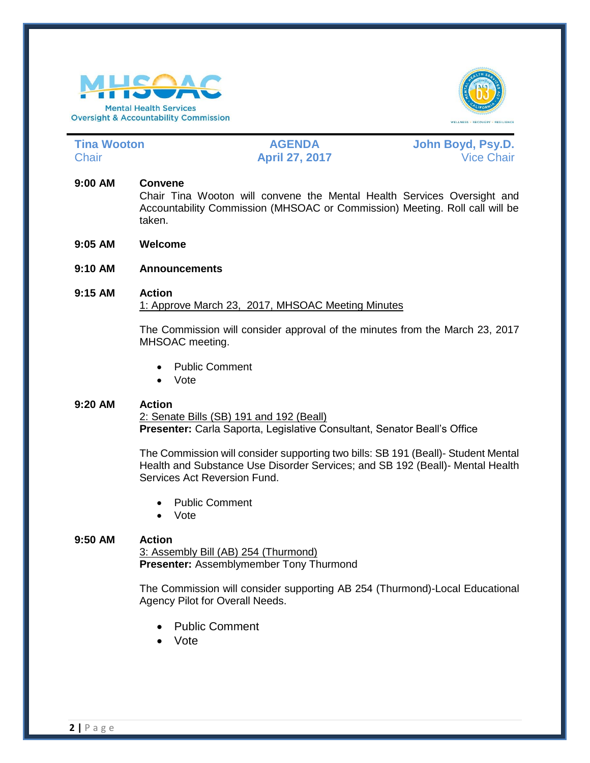



**Tina Wooton AGENDA John Boyd, Psy.D.** Chair **April 27, 2017** Vice Chair

## **9:00 AM Convene**

Chair Tina Wooton will convene the Mental Health Services Oversight and Accountability Commission (MHSOAC or Commission) Meeting. Roll call will be taken.

- **9:05 AM Welcome**
- **9:10 AM Announcements**

### **9:15 AM Action** 1: Approve March 23, 2017, MHSOAC Meeting Minutes

The Commission will consider approval of the minutes from the March 23, 2017 MHSOAC meeting.

- Public Comment
- Vote

### **9:20 AM Action**

2: Senate Bills (SB) 191 and 192 (Beall) **Presenter:** Carla Saporta, Legislative Consultant, Senator Beall's Office

The Commission will consider supporting two bills: SB 191 (Beall)- Student Mental Health and Substance Use Disorder Services; and SB 192 (Beall)- Mental Health Services Act Reversion Fund.

- Public Comment
- Vote

### **9:50 AM Action**

3: Assembly Bill (AB) 254 (Thurmond) **Presenter:** Assemblymember Tony Thurmond

The Commission will consider supporting AB 254 (Thurmond)-Local Educational Agency Pilot for Overall Needs.

- Public Comment
- Vote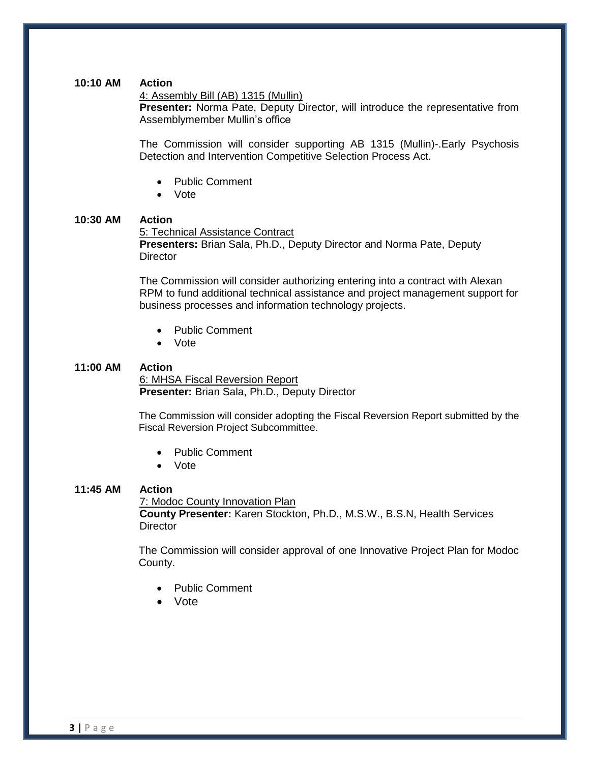#### **10:10 AM Action**

#### 4: Assembly Bill (AB) 1315 (Mullin)

**Presenter:** Norma Pate, Deputy Director, will introduce the representative from Assemblymember Mullin's office

The Commission will consider supporting AB 1315 (Mullin)-.Early Psychosis Detection and Intervention Competitive Selection Process Act.

- Public Comment
- Vote

#### **10:30 AM Action**

5: Technical Assistance Contract **Presenters:** Brian Sala, Ph.D., Deputy Director and Norma Pate, Deputy **Director** 

The Commission will consider authorizing entering into a contract with Alexan RPM to fund additional technical assistance and project management support for business processes and information technology projects.

- Public Comment
- Vote

#### **11:00 AM Action**

6: MHSA Fiscal Reversion Report **Presenter:** Brian Sala, Ph.D., Deputy Director

The Commission will consider adopting the Fiscal Reversion Report submitted by the Fiscal Reversion Project Subcommittee.

- Public Comment
- Vote

#### **11:45 AM Action**

7: Modoc County Innovation Plan **County Presenter:** Karen Stockton, Ph.D., M.S.W., B.S.N, Health Services **Director** 

The Commission will consider approval of one Innovative Project Plan for Modoc County.

- Public Comment
- Vote